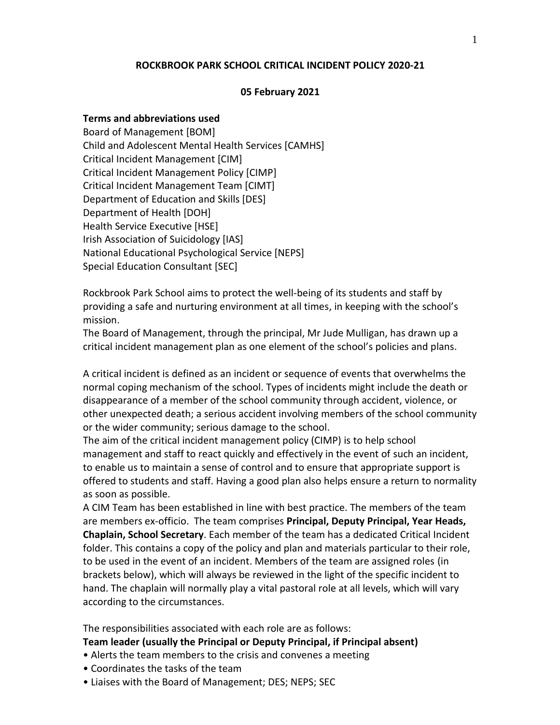### **ROCKBROOK PARK SCHOOL CRITICAL INCIDENT POLICY 2020-21**

#### **05 February 2021**

#### **Terms and abbreviations used**

Board of Management [BOM] Child and Adolescent Mental Health Services [CAMHS] Critical Incident Management [CIM] Critical Incident Management Policy [CIMP] Critical Incident Management Team [CIMT] Department of Education and Skills [DES] Department of Health [DOH] Health Service Executive [HSE] Irish Association of Suicidology [IAS] National Educational Psychological Service [NEPS] Special Education Consultant [SEC]

Rockbrook Park School aims to protect the well-being of its students and staff by providing a safe and nurturing environment at all times, in keeping with the school's mission.

The Board of Management, through the principal, Mr Jude Mulligan, has drawn up a critical incident management plan as one element of the school's policies and plans.

A critical incident is defined as an incident or sequence of events that overwhelms the normal coping mechanism of the school. Types of incidents might include the death or disappearance of a member of the school community through accident, violence, or other unexpected death; a serious accident involving members of the school community or the wider community; serious damage to the school.

The aim of the critical incident management policy (CIMP) is to help school management and staff to react quickly and effectively in the event of such an incident, to enable us to maintain a sense of control and to ensure that appropriate support is offered to students and staff. Having a good plan also helps ensure a return to normality as soon as possible.

A CIM Team has been established in line with best practice. The members of the team are members ex-officio. The team comprises **Principal, Deputy Principal, Year Heads, Chaplain, School Secretary**. Each member of the team has a dedicated Critical Incident folder. This contains a copy of the policy and plan and materials particular to their role, to be used in the event of an incident. Members of the team are assigned roles (in brackets below), which will always be reviewed in the light of the specific incident to hand. The chaplain will normally play a vital pastoral role at all levels, which will vary according to the circumstances.

The responsibilities associated with each role are as follows:

#### **Team leader (usually the Principal or Deputy Principal, if Principal absent)**

- Alerts the team members to the crisis and convenes a meeting
- Coordinates the tasks of the team
- Liaises with the Board of Management; DES; NEPS; SEC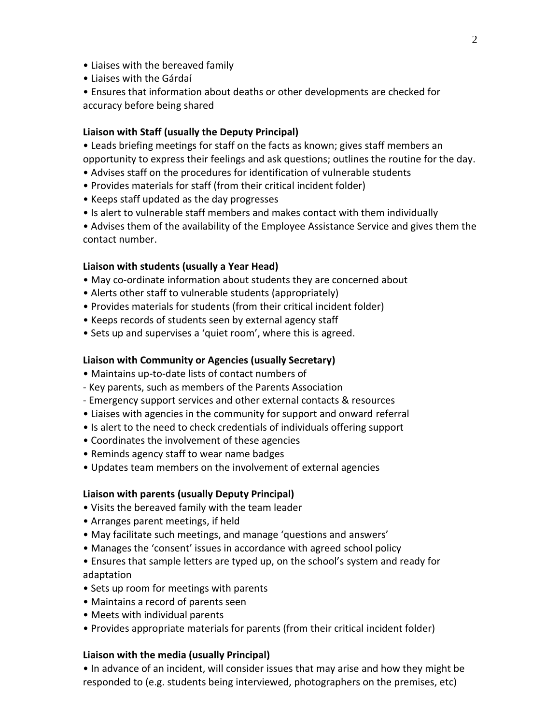- Liaises with the bereaved family
- Liaises with the Gárdaí
- Ensures that information about deaths or other developments are checked for accuracy before being shared

### **Liaison with Staff (usually the Deputy Principal)**

• Leads briefing meetings for staff on the facts as known; gives staff members an opportunity to express their feelings and ask questions; outlines the routine for the day.

- Advises staff on the procedures for identification of vulnerable students
- Provides materials for staff (from their critical incident folder)
- Keeps staff updated as the day progresses
- Is alert to vulnerable staff members and makes contact with them individually

• Advises them of the availability of the Employee Assistance Service and gives them the contact number.

### **Liaison with students (usually a Year Head)**

- May co-ordinate information about students they are concerned about
- Alerts other staff to vulnerable students (appropriately)
- Provides materials for students (from their critical incident folder)
- Keeps records of students seen by external agency staff
- Sets up and supervises a 'quiet room', where this is agreed.

### **Liaison with Community or Agencies (usually Secretary)**

- Maintains up-to-date lists of contact numbers of
- Key parents, such as members of the Parents Association
- Emergency support services and other external contacts & resources
- Liaises with agencies in the community for support and onward referral
- Is alert to the need to check credentials of individuals offering support
- Coordinates the involvement of these agencies
- Reminds agency staff to wear name badges
- Updates team members on the involvement of external agencies

### **Liaison with parents (usually Deputy Principal)**

- Visits the bereaved family with the team leader
- Arranges parent meetings, if held
- May facilitate such meetings, and manage 'questions and answers'
- Manages the 'consent' issues in accordance with agreed school policy
- Ensures that sample letters are typed up, on the school's system and ready for adaptation
- Sets up room for meetings with parents
- Maintains a record of parents seen
- Meets with individual parents
- Provides appropriate materials for parents (from their critical incident folder)

### **Liaison with the media (usually Principal)**

• In advance of an incident, will consider issues that may arise and how they might be responded to (e.g. students being interviewed, photographers on the premises, etc)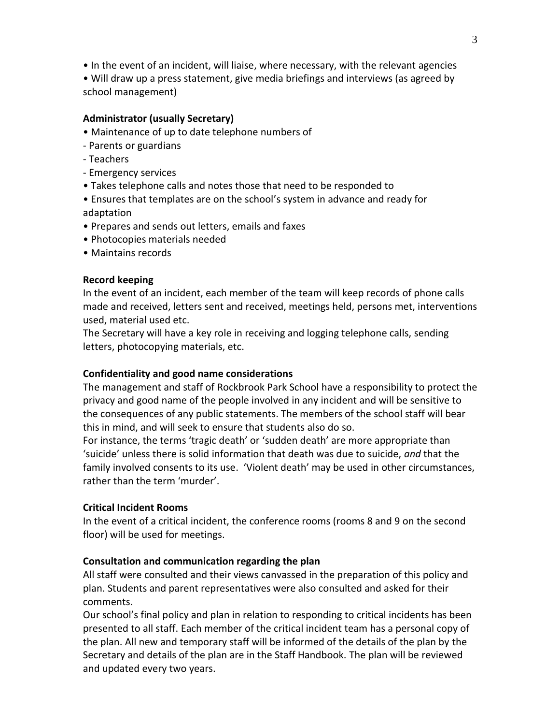• In the event of an incident, will liaise, where necessary, with the relevant agencies

• Will draw up a press statement, give media briefings and interviews (as agreed by school management)

# **Administrator (usually Secretary)**

- Maintenance of up to date telephone numbers of
- Parents or guardians
- Teachers
- Emergency services
- Takes telephone calls and notes those that need to be responded to
- Ensures that templates are on the school's system in advance and ready for adaptation
- Prepares and sends out letters, emails and faxes
- Photocopies materials needed
- Maintains records

# **Record keeping**

In the event of an incident, each member of the team will keep records of phone calls made and received, letters sent and received, meetings held, persons met, interventions used, material used etc.

The Secretary will have a key role in receiving and logging telephone calls, sending letters, photocopying materials, etc.

# **Confidentiality and good name considerations**

The management and staff of Rockbrook Park School have a responsibility to protect the privacy and good name of the people involved in any incident and will be sensitive to the consequences of any public statements. The members of the school staff will bear this in mind, and will seek to ensure that students also do so.

For instance, the terms 'tragic death' or 'sudden death' are more appropriate than 'suicide' unless there is solid information that death was due to suicide, *and* that the family involved consents to its use. 'Violent death' may be used in other circumstances, rather than the term 'murder'.

# **Critical Incident Rooms**

In the event of a critical incident, the conference rooms (rooms 8 and 9 on the second floor) will be used for meetings.

# **Consultation and communication regarding the plan**

All staff were consulted and their views canvassed in the preparation of this policy and plan. Students and parent representatives were also consulted and asked for their comments.

Our school's final policy and plan in relation to responding to critical incidents has been presented to all staff. Each member of the critical incident team has a personal copy of the plan. All new and temporary staff will be informed of the details of the plan by the Secretary and details of the plan are in the Staff Handbook. The plan will be reviewed and updated every two years.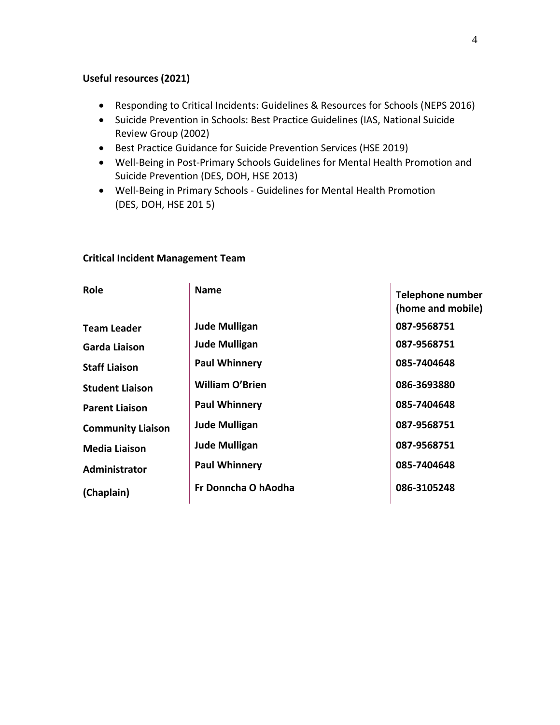# **Useful resources (2021)**

- Responding to Critical Incidents: Guidelines & Resources for Schools (NEPS 2016)
- Suicide Prevention in Schools: Best Practice Guidelines (IAS, National Suicide Review Group (2002)
- Best Practice Guidance for Suicide Prevention Services (HSE 2019)
- Well-Being in Post-Primary Schools Guidelines for Mental Health Promotion and Suicide Prevention (DES, DOH, HSE 2013)
- Well-Being in Primary Schools Guidelines for Mental Health Promotion (DES, DOH, HSE 201 5)

## **Critical Incident Management Team**

| Role                     | <b>Name</b>            | <b>Telephone number</b><br>(home and mobile) |
|--------------------------|------------------------|----------------------------------------------|
| <b>Team Leader</b>       | <b>Jude Mulligan</b>   | 087-9568751                                  |
| Garda Liaison            | <b>Jude Mulligan</b>   | 087-9568751                                  |
| <b>Staff Liaison</b>     | <b>Paul Whinnery</b>   | 085-7404648                                  |
| <b>Student Liaison</b>   | <b>William O'Brien</b> | 086-3693880                                  |
| <b>Parent Liaison</b>    | <b>Paul Whinnery</b>   | 085-7404648                                  |
| <b>Community Liaison</b> | <b>Jude Mulligan</b>   | 087-9568751                                  |
| <b>Media Liaison</b>     | <b>Jude Mulligan</b>   | 087-9568751                                  |
| Administrator            | <b>Paul Whinnery</b>   | 085-7404648                                  |
| (Chaplain)               | Fr Donncha O hAodha    | 086-3105248                                  |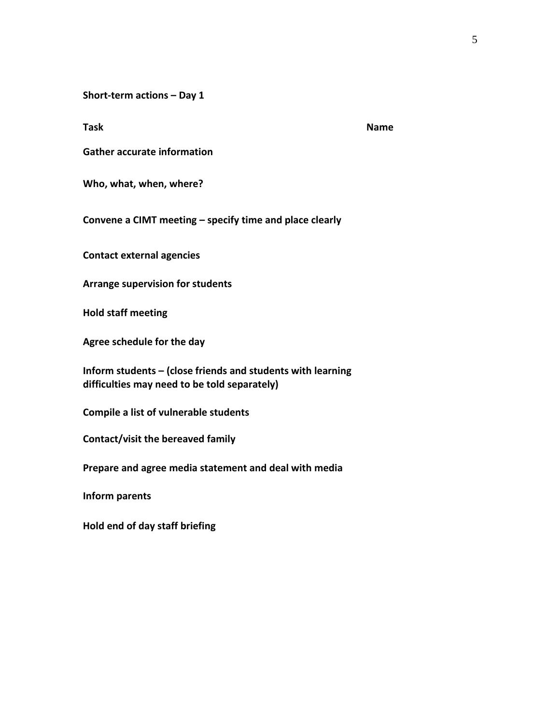**Short-term actions – Day 1** 

**Task Name is a set of the set of the set of the set of the set of the set of the set of the set of the set of the set of the set of the set of the set of the set of the set of the set of the set of the set of the set of t** 

**Gather accurate information** 

**Who, what, when, where?** 

**Convene a CIMT meeting – specify time and place clearly** 

**Contact external agencies** 

**Arrange supervision for students** 

**Hold staff meeting** 

**Agree schedule for the day** 

**Inform students – (close friends and students with learning difficulties may need to be told separately)** 

**Compile a list of vulnerable students** 

**Contact/visit the bereaved family** 

**Prepare and agree media statement and deal with media** 

**Inform parents** 

**Hold end of day staff briefing**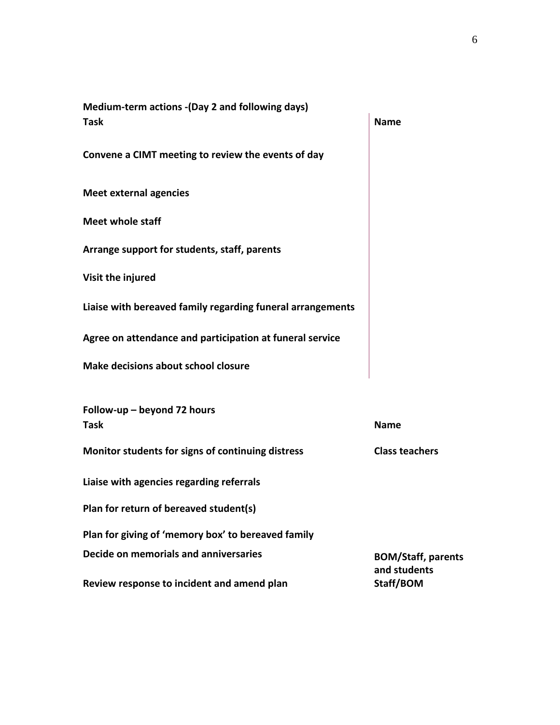| Medium-term actions - (Day 2 and following days)           |                                           |  |  |  |
|------------------------------------------------------------|-------------------------------------------|--|--|--|
| <b>Task</b>                                                | <b>Name</b>                               |  |  |  |
| Convene a CIMT meeting to review the events of day         |                                           |  |  |  |
| <b>Meet external agencies</b>                              |                                           |  |  |  |
| <b>Meet whole staff</b>                                    |                                           |  |  |  |
| Arrange support for students, staff, parents               |                                           |  |  |  |
| Visit the injured                                          |                                           |  |  |  |
| Liaise with bereaved family regarding funeral arrangements |                                           |  |  |  |
| Agree on attendance and participation at funeral service   |                                           |  |  |  |
| Make decisions about school closure                        |                                           |  |  |  |
| Follow-up - beyond 72 hours<br><b>Task</b>                 | <b>Name</b>                               |  |  |  |
| Monitor students for signs of continuing distress          | <b>Class teachers</b>                     |  |  |  |
| Liaise with agencies regarding referrals                   |                                           |  |  |  |
| Plan for return of bereaved student(s)                     |                                           |  |  |  |
| Plan for giving of 'memory box' to bereaved family         |                                           |  |  |  |
| Decide on memorials and anniversaries                      | <b>BOM/Staff, parents</b><br>and students |  |  |  |
| Review response to incident and amend plan                 | Staff/BOM                                 |  |  |  |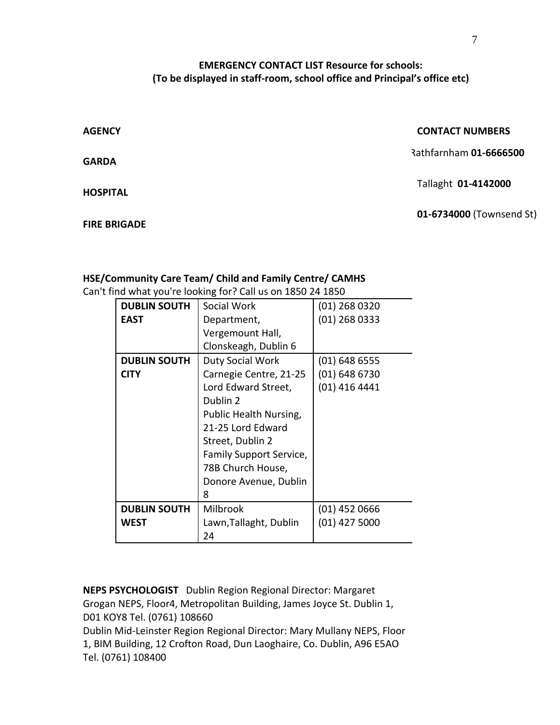# **EMERGENCY CONTACT LIST Resource for schools: (To be displayed in staff-room, school office and Principal's office etc)**

| <b>AGENCY</b>       | <b>CONTACT NUMBERS</b>   |
|---------------------|--------------------------|
| <b>GARDA</b>        | Rathfarnham 01-6666500   |
| <b>HOSPITAL</b>     | Tallaght 01-4142000      |
| <b>FIRE BRIGADE</b> | 01-6734000 (Townsend St) |

# **HSE/Community Care Team/ Child and Family Centre/ CAMHS**

Can't find what you're looking for? Call us on 1850 24 1850

| <b>DUBLIN SOUTH</b> | Social Work             | (01) 268 0320   |
|---------------------|-------------------------|-----------------|
| <b>EAST</b>         | Department,             | $(01)$ 268 0333 |
|                     | Vergemount Hall,        |                 |
|                     | Clonskeagh, Dublin 6    |                 |
| <b>DUBLIN SOUTH</b> | Duty Social Work        | $(01)$ 648 6555 |
| <b>CITY</b>         | Carnegie Centre, 21-25  | $(01)$ 648 6730 |
|                     | Lord Edward Street,     | $(01)$ 416 4441 |
|                     | Dublin 2                |                 |
|                     | Public Health Nursing,  |                 |
|                     | 21-25 Lord Edward       |                 |
|                     | Street, Dublin 2        |                 |
|                     | Family Support Service, |                 |
|                     | 78B Church House,       |                 |
|                     | Donore Avenue, Dublin   |                 |
|                     | 8                       |                 |
| <b>DUBLIN SOUTH</b> | <b>Milbrook</b>         | $(01)$ 452 0666 |
| <b>WEST</b>         | Lawn, Tallaght, Dublin  | $(01)$ 427 5000 |
|                     | 24                      |                 |

**NEPS PSYCHOLOGIST** Dublin Region Regional Director: Margaret Grogan NEPS, Floor4, Metropolitan Building, James Joyce St. Dublin 1, D01 KOY8 Tel. (0761) 108660

Dublin Mid-Leinster Region Regional Director: Mary Mullany NEPS, Floor 1, BIM Building, 12 Crofton Road, Dun Laoghaire, Co. Dublin, A96 E5AO Tel. (0761) 108400